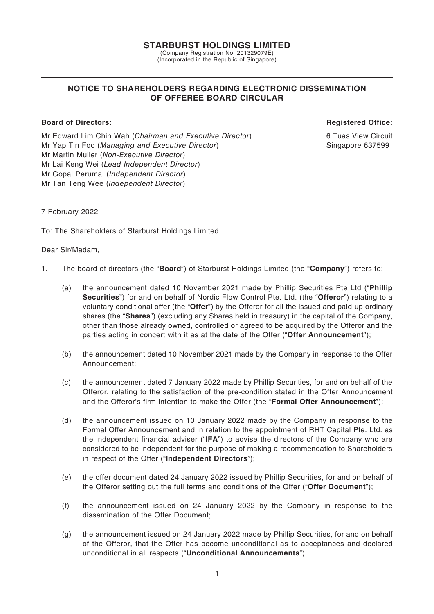## **STARBURST HOLDINGS LIMITED**

(Company Registration No. 201329079E) (Incorporated in the Republic of Singapore)

# **NOTICE TO SHAREHOLDERS REGARDING ELECTRONIC DISSEMINATION OF OFFEREE BOARD CIRCULAR**

## **Board of Directors: Registered Office:**

Mr Edward Lim Chin Wah (*Chairman and Executive Director*) 6 Tuas View Circuit Mr Yap Tin Foo (*Managing and Executive Director*) Sangapore 637599 Singapore 637599 Mr Martin Muller (*Non-Executive Director*) Mr Lai Keng Wei (*Lead Independent Director*) Mr Gopal Perumal (*Independent Director*) Mr Tan Teng Wee (*Independent Director*)

## 7 February 2022

To: The Shareholders of Starburst Holdings Limited

## Dear Sir/Madam,

- 1. The board of directors (the "**Board**") of Starburst Holdings Limited (the "**Company**") refers to:
	- (a) the announcement dated 10 November 2021 made by Phillip Securities Pte Ltd ("**Phillip Securities**") for and on behalf of Nordic Flow Control Pte. Ltd. (the "**Offeror**") relating to a voluntary conditional offer (the "**Offer**") by the Offeror for all the issued and paid-up ordinary shares (the "**Shares**") (excluding any Shares held in treasury) in the capital of the Company, other than those already owned, controlled or agreed to be acquired by the Offeror and the parties acting in concert with it as at the date of the Offer ("**Offer Announcement**");
	- (b) the announcement dated 10 November 2021 made by the Company in response to the Offer Announcement;
	- (c) the announcement dated 7 January 2022 made by Phillip Securities, for and on behalf of the Offeror, relating to the satisfaction of the pre-condition stated in the Offer Announcement and the Offeror's firm intention to make the Offer (the "**Formal Offer Announcement**");
	- (d) the announcement issued on 10 January 2022 made by the Company in response to the Formal Offer Announcement and in relation to the appointment of RHT Capital Pte. Ltd. as the independent financial adviser ("**IFA**") to advise the directors of the Company who are considered to be independent for the purpose of making a recommendation to Shareholders in respect of the Offer ("**Independent Directors**");
	- (e) the offer document dated 24 January 2022 issued by Phillip Securities, for and on behalf of the Offeror setting out the full terms and conditions of the Offer ("**Offer Document**");
	- (f) the announcement issued on 24 January 2022 by the Company in response to the dissemination of the Offer Document;
	- (g) the announcement issued on 24 January 2022 made by Phillip Securities, for and on behalf of the Offeror, that the Offer has become unconditional as to acceptances and declared unconditional in all respects ("**Unconditional Announcements**");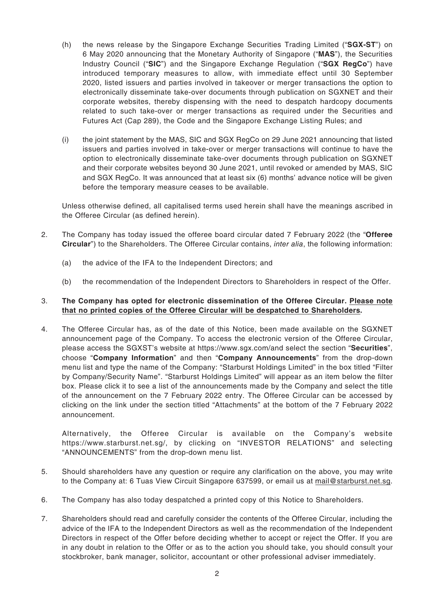- (h) the news release by the Singapore Exchange Securities Trading Limited ("**SGX-ST**") on 6 May 2020 announcing that the Monetary Authority of Singapore ("**MAS**"), the Securities Industry Council ("**SIC**") and the Singapore Exchange Regulation ("**SGX RegCo**") have introduced temporary measures to allow, with immediate effect until 30 September 2020, listed issuers and parties involved in takeover or merger transactions the option to electronically disseminate take-over documents through publication on SGXNET and their corporate websites, thereby dispensing with the need to despatch hardcopy documents related to such take-over or merger transactions as required under the Securities and Futures Act (Cap 289), the Code and the Singapore Exchange Listing Rules; and
- (i) the joint statement by the MAS, SIC and SGX RegCo on 29 June 2021 announcing that listed issuers and parties involved in take-over or merger transactions will continue to have the option to electronically disseminate take-over documents through publication on SGXNET and their corporate websites beyond 30 June 2021, until revoked or amended by MAS, SIC and SGX RegCo. It was announced that at least six (6) months' advance notice will be given before the temporary measure ceases to be available.

Unless otherwise defined, all capitalised terms used herein shall have the meanings ascribed in the Offeree Circular (as defined herein).

- 2. The Company has today issued the offeree board circular dated 7 February 2022 (the "**Offeree Circular**") to the Shareholders. The Offeree Circular contains, *inter alia*, the following information:
	- (a) the advice of the IFA to the Independent Directors; and
	- (b) the recommendation of the Independent Directors to Shareholders in respect of the Offer.

## 3. **The Company has opted for electronic dissemination of the Offeree Circular. Please note that no printed copies of the Offeree Circular will be despatched to Shareholders.**

4. The Offeree Circular has, as of the date of this Notice, been made available on the SGXNET announcement page of the Company. To access the electronic version of the Offeree Circular, please access the SGXST's website at https://www.sgx.com/and select the section "**Securities**", choose "**Company Information**" and then "**Company Announcements**" from the drop-down menu list and type the name of the Company: "Starburst Holdings Limited" in the box titled "Filter by Company/Security Name". "Starburst Holdings Limited" will appear as an item below the filter box. Please click it to see a list of the announcements made by the Company and select the title of the announcement on the 7 February 2022 entry. The Offeree Circular can be accessed by clicking on the link under the section titled "Attachments" at the bottom of the 7 February 2022 announcement.

Alternatively, the Offeree Circular is available on the Company's website https://www.starburst.net.sg/, by clicking on "INVESTOR RELATIONS" and selecting "ANNOUNCEMENTS" from the drop-down menu list.

- 5. Should shareholders have any question or require any clarification on the above, you may write to the Company at: 6 Tuas View Circuit Singapore 637599, or email us at mail@starburst.net.sg.
- 6. The Company has also today despatched a printed copy of this Notice to Shareholders.
- 7. Shareholders should read and carefully consider the contents of the Offeree Circular, including the advice of the IFA to the Independent Directors as well as the recommendation of the Independent Directors in respect of the Offer before deciding whether to accept or reject the Offer. If you are in any doubt in relation to the Offer or as to the action you should take, you should consult your stockbroker, bank manager, solicitor, accountant or other professional adviser immediately.